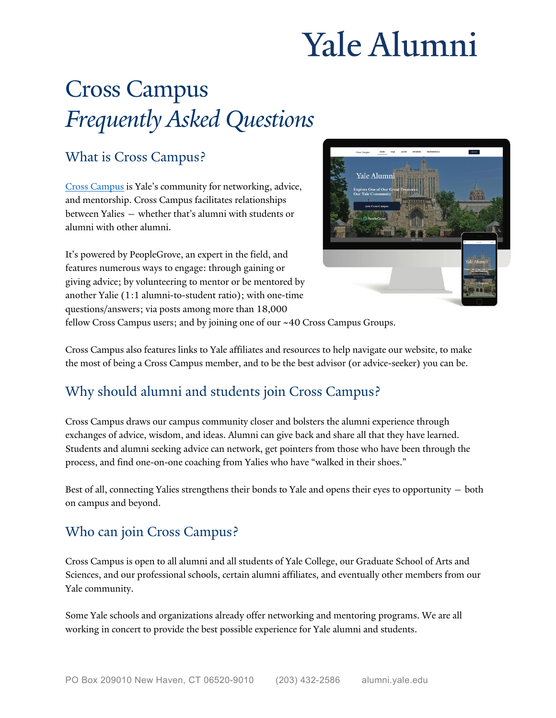# Yale Alumni

# Cross Campus *Frequently Asked Questions*

#### What is Cross Campus?

[Cross Campus](https://crosscampus.yale.edu/) is Yale's community for networking, advice, and mentorship. Cross Campus facilitates relationships between Yalies — whether that's alumni with students or alumni with other alumni.

It's powered by PeopleGrove, an expert in the field, and features numerous ways to engage: through gaining or giving advice; by volunteering to mentor or be mentored by another Yalie (1:1 alumni-to-student ratio); with one-time questions/answers; via posts among more than 18,000



fellow Cross Campus users; and by joining one of our ~40 Cross Campus Groups.

Cross Campus also features links to Yale affiliates and resources to help navigate our website, to make the most of being a Cross Campus member, and to be the best advisor (or advice-seeker) you can be.

# Why should alumni and students join Cross Campus?

Cross Campus draws our campus community closer and bolsters the alumni experience through exchanges of advice, wisdom, and ideas. Alumni can give back and share all that they have learned. Students and alumni seeking advice can network, get pointers from those who have been through the process, and find one-on-one coaching from Yalies who have "walked in their shoes."

Best of all, connecting Yalies strengthens their bonds to Yale and opens their eyes to opportunity — both on campus and beyond.

## Who can join Cross Campus?

Cross Campus is open to all alumni and all students of Yale College, our Graduate School of Arts and Sciences, and our professional schools, certain alumni affiliates, and eventually other members from our Yale community.

Some Yale schools and organizations already offer networking and mentoring programs. We are all working in concert to provide the best possible experience for Yale alumni and students.